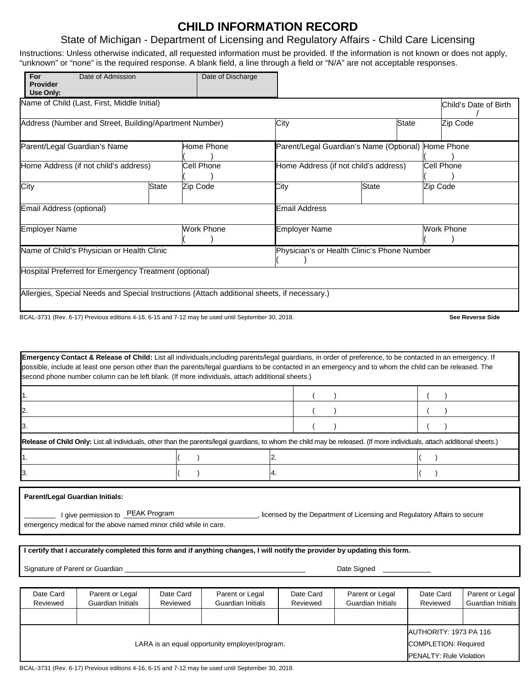### **CHILD INFORMATION RECORD**

#### State of Michigan - Department of Licensing and Regulatory Affairs - Child Care Licensing

Instructions: Unless otherwise indicated, all requested information must be provided. If the information is not known or does not apply, "unknown" or "none" is the required response. A blank field, a line through a field or "N/A" are not acceptable responses.

| For<br><b>Provider</b><br>Use Only:                    | Date of Admission | Date of Discharge                                                                                 |                                             |                                       |                         |  |  |
|--------------------------------------------------------|-------------------|---------------------------------------------------------------------------------------------------|---------------------------------------------|---------------------------------------|-------------------------|--|--|
| Name of Child (Last, First, Middle Initial)            |                   |                                                                                                   |                                             |                                       | Child's Date of Birth   |  |  |
| Address (Number and Street, Building/Apartment Number) |                   |                                                                                                   | City                                        | State                                 | Zip Code                |  |  |
| Parent/Legal Guardian's Name                           |                   | Home Phone                                                                                        | Parent/Legal Guardian's Name (Optional)     |                                       | Home Phone              |  |  |
| Home Address (if not child's address)                  |                   | Cell Phone                                                                                        |                                             | Home Address (if not child's address) | Cell Phone              |  |  |
| City                                                   | State             | Zip Code                                                                                          | City                                        | <b>State</b>                          | Zip Code                |  |  |
| Email Address (optional)                               |                   |                                                                                                   | <b>Email Address</b>                        |                                       |                         |  |  |
| <b>Employer Name</b>                                   |                   | Work Phone                                                                                        | <b>Employer Name</b>                        |                                       | <b>Work Phone</b>       |  |  |
| Name of Child's Physician or Health Clinic             |                   |                                                                                                   | Physician's or Health Clinic's Phone Number |                                       |                         |  |  |
| Hospital Preferred for Emergency Treatment (optional)  |                   |                                                                                                   |                                             |                                       |                         |  |  |
|                                                        |                   | Allergies, Special Needs and Special Instructions (Attach additional sheets, if necessary.)       |                                             |                                       |                         |  |  |
|                                                        |                   | BCAL-3731 (Rev. 6-17) Previous editions 4-16, 6-15 and 7-12 may be used until September 30, 2018. |                                             |                                       | <b>See Reverse Side</b> |  |  |

| <b>Emergency Contact &amp; Release of Child:</b> List all individuals, including parents/legal guardians, in order of preference, to be contacted in an emergency. If<br>possible, include at least one person other than the parents/legal guardians to be contacted in an emergency and to whom the child can be released. The<br>second phone number column can be left blank. (If more individuals, attach additional sheets.) |  |  |
|------------------------------------------------------------------------------------------------------------------------------------------------------------------------------------------------------------------------------------------------------------------------------------------------------------------------------------------------------------------------------------------------------------------------------------|--|--|
|                                                                                                                                                                                                                                                                                                                                                                                                                                    |  |  |
|                                                                                                                                                                                                                                                                                                                                                                                                                                    |  |  |
|                                                                                                                                                                                                                                                                                                                                                                                                                                    |  |  |
| Release of Child Only: List all individuals, other than the parents/legal guardians, to whom the child may be released. (If more individuals, attach additional sheets.)                                                                                                                                                                                                                                                           |  |  |
|                                                                                                                                                                                                                                                                                                                                                                                                                                    |  |  |
|                                                                                                                                                                                                                                                                                                                                                                                                                                    |  |  |

**Parent/Legal Guardian Initials:**

licensed by the Department of Licensing and Regulatory Affairs to secure emergency medical for the above named minor child while in care. I give permission to PEAK Program

**I certify that I accurately completed this form and if anything changes, I will notify the provider by updating this form.**

Signature of Parent or Guardian Date Signed Control of Parent of Parent of Guardian Date Signed

| Date Card<br>Reviewed                          | Parent or Legal<br>Guardian Initials | Date Card<br>Reviewed | Parent or Legal<br>Guardian Initials | Date Card<br>Reviewed | Parent or Legal<br>Guardian Initials | Date Card<br>Reviewed       | Parent or Legal<br>Guardian Initials |  |
|------------------------------------------------|--------------------------------------|-----------------------|--------------------------------------|-----------------------|--------------------------------------|-----------------------------|--------------------------------------|--|
|                                                |                                      |                       |                                      |                       |                                      |                             |                                      |  |
|                                                |                                      |                       |                                      |                       |                                      |                             | AUTHORITY: 1973 PA 116               |  |
| LARA is an equal opportunity employer/program. |                                      |                       |                                      |                       |                                      | <b>COMPLETION: Required</b> |                                      |  |
|                                                |                                      |                       |                                      |                       |                                      |                             | <b>PENALTY: Rule Violation</b>       |  |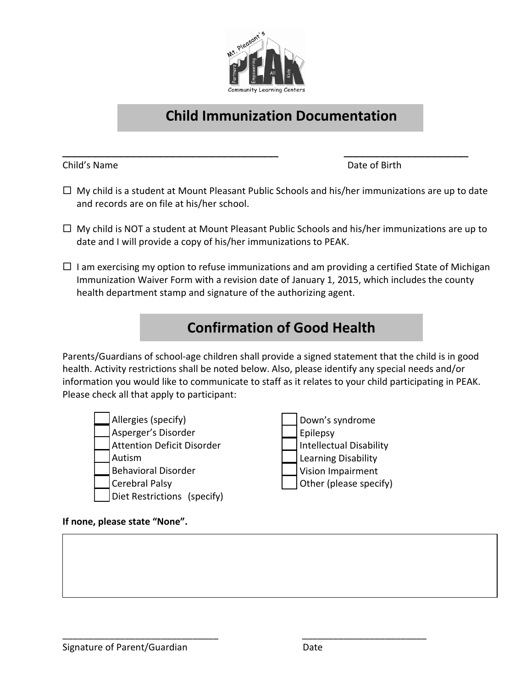

## **Child Immunization Documentation**

Child's Name Date of Birth

 $\Box$  My child is a student at Mount Pleasant Public Schools and his/her immunizations are up to date and records are on file at his/her school.

\_\_\_\_\_\_\_\_\_\_\_\_\_\_\_\_\_\_\_\_\_\_\_\_\_\_\_\_\_\_\_\_\_ \_\_\_\_\_\_\_\_\_\_\_\_\_\_\_\_\_\_\_

- $\Box$  My child is NOT a student at Mount Pleasant Public Schools and his/her immunizations are up to date and I will provide a copy of his/her immunizations to PEAK.
- $\Box$  I am exercising my option to refuse immunizations and am providing a certified State of Michigan Immunization Waiver Form with a revision date of January 1, 2015, which includes the county health department stamp and signature of the authorizing agent.

# **Confirmation of Good Health**

Parents/Guardians of school-age children shall provide a signed statement that the child is in good health. Activity restrictions shall be noted below. Also, please identify any special needs and/or information you would like to communicate to staff as it relates to your child participating in PEAK. Please check all that apply to participant:

Allergies (specify) \_\_\_ Asperger's Disorder Attention Deficit Disorder \_\_\_ Autism \_\_\_ Behavioral Disorder Cerebral Palsy Diet Restrictions (specify)



#### **If none, please state "None".**

\_\_\_\_\_\_\_\_\_\_\_\_\_\_\_\_\_\_\_\_\_\_\_\_\_\_\_\_\_\_ \_\_\_\_\_\_\_\_\_\_\_\_\_\_\_\_\_\_\_\_\_\_\_\_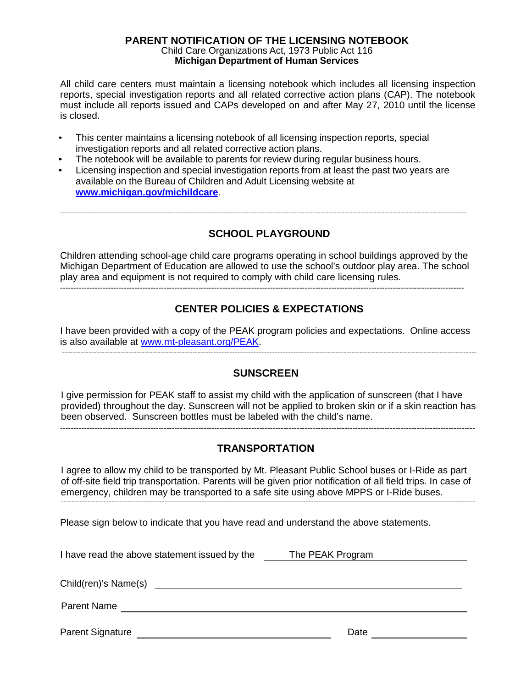#### **PARENT NOTIFICATION OF THE LICENSING NOTEBOOK** Child Care Organizations Act, 1973 Public Act 116 **Michigan Department of Human Services**

All child care centers must maintain a licensing notebook which includes all licensing inspection reports, special investigation reports and all related corrective action plans (CAP). The notebook must include all reports issued and CAPs developed on and after May 27, 2010 until the license is closed.

- This center maintains a licensing notebook of all licensing inspection reports, special investigation reports and all related corrective action plans.
- The notebook will be available to parents for review during regular business hours.
- Licensing inspection and special investigation reports from at least the past two years are available on the Bureau of Children and Adult Licensing website at **[www.michigan.gov/michildcare](http://www.michigan.gov/michildcare)**.

---------------------------------------------------------------------------------------------------------------------------------------------------------

#### **SCHOOL PLAYGROUND**

Children attending school-age child care programs operating in school buildings approved by the Michigan Department of Education are allowed to use the school's outdoor play area. The school play area and equipment is not required to comply with child care licensing rules.

#### **CENTER POLICIES & EXPECTATIONS**

I have been provided with a copy of the PEAK program policies and expectations. Online access is also available at [www.mt-pleasant.org/PEAK.](http://www.mt-pleasant.org/PEAK) ------------------------------------------------------------------------------------------------------------------------------------------------------------

#### **SUNSCREEN**

I give permission for PEAK staff to assist my child with the application of sunscreen (that I have provided) throughout the day. Sunscreen will not be applied to broken skin or if a skin reaction has been observed. Sunscreen bottles must be labeled with the child's name.

#### **TRANSPORTATION**

------------------------------------------------------------------------------------------------------------------------------------------------------------

I agree to allow my child to be transported by Mt. Pleasant Public School buses or I-Ride as part of off-site field trip transportation. Parents will be given prior notification of all field trips. In case of emergency, children may be transported to a safe site using above MPPS or I-Ride buses.------------------------------------------------------------------------------------------------------------------------------------------------------------

Please sign below to indicate that you have read and understand the above statements.

I have read the above statement issued by the The PEAK Program

Child(ren)'s Name(s)

Parent Name

Parent Signature Date